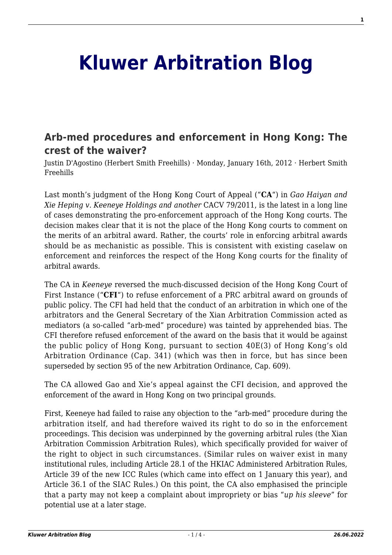# **[Kluwer Arbitration Blog](http://arbitrationblog.kluwerarbitration.com/)**

## **[Arb-med procedures and enforcement in Hong Kong: The](http://arbitrationblog.kluwerarbitration.com/2012/01/16/arb-med-procedures-and-enforcement-in-hong-kong-the-crest-of-the-waiver/) [crest of the waiver?](http://arbitrationblog.kluwerarbitration.com/2012/01/16/arb-med-procedures-and-enforcement-in-hong-kong-the-crest-of-the-waiver/)**

Justin D'Agostino (Herbert Smith Freehills) · Monday, January 16th, 2012 · Herbert Smith Freehills

Last month's judgment of the Hong Kong Court of Appeal ("**CA**") in *Gao Haiyan and Xie Heping v. Keeneye Holdings and another* CACV 79/2011, is the latest in a long line of cases demonstrating the pro-enforcement approach of the Hong Kong courts. The decision makes clear that it is not the place of the Hong Kong courts to comment on the merits of an arbitral award. Rather, the courts' role in enforcing arbitral awards should be as mechanistic as possible. This is consistent with existing caselaw on enforcement and reinforces the respect of the Hong Kong courts for the finality of arbitral awards.

The CA in *Keeneye* reversed the much-discussed decision of the Hong Kong Court of First Instance ("**CFI**") to refuse enforcement of a PRC arbitral award on grounds of public policy. The CFI had held that the conduct of an arbitration in which one of the arbitrators and the General Secretary of the Xian Arbitration Commission acted as mediators (a so-called "arb-med" procedure) was tainted by apprehended bias. The CFI therefore refused enforcement of the award on the basis that it would be against the public policy of Hong Kong, pursuant to section 40E(3) of Hong Kong's old Arbitration Ordinance (Cap. 341) (which was then in force, but has since been superseded by section 95 of the new Arbitration Ordinance, Cap. 609).

The CA allowed Gao and Xie's appeal against the CFI decision, and approved the enforcement of the award in Hong Kong on two principal grounds.

First, Keeneye had failed to raise any objection to the "arb-med" procedure during the arbitration itself, and had therefore waived its right to do so in the enforcement proceedings. This decision was underpinned by the governing arbitral rules (the Xian Arbitration Commission Arbitration Rules), which specifically provided for waiver of the right to object in such circumstances. (Similar rules on waiver exist in many institutional rules, including Article 28.1 of the HKIAC Administered Arbitration Rules, Article 39 of the new ICC Rules (which came into effect on 1 January this year), and Article 36.1 of the SIAC Rules.) On this point, the CA also emphasised the principle that a party may not keep a complaint about impropriety or bias "*up his sleeve*" for potential use at a later stage.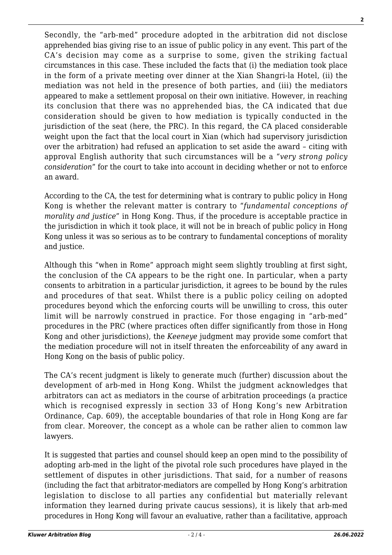Secondly, the "arb-med" procedure adopted in the arbitration did not disclose apprehended bias giving rise to an issue of public policy in any event. This part of the CA's decision may come as a surprise to some, given the striking factual circumstances in this case. These included the facts that (i) the mediation took place in the form of a private meeting over dinner at the Xian Shangri-la Hotel, (ii) the mediation was not held in the presence of both parties, and (iii) the mediators appeared to make a settlement proposal on their own initiative. However, in reaching its conclusion that there was no apprehended bias, the CA indicated that due consideration should be given to how mediation is typically conducted in the jurisdiction of the seat (here, the PRC). In this regard, the CA placed considerable weight upon the fact that the local court in Xian (which had supervisory jurisdiction over the arbitration) had refused an application to set aside the award – citing with approval English authority that such circumstances will be a "*very strong policy consideration*" for the court to take into account in deciding whether or not to enforce an award.

According to the CA, the test for determining what is contrary to public policy in Hong Kong is whether the relevant matter is contrary to "*fundamental conceptions of morality and justice*" in Hong Kong. Thus, if the procedure is acceptable practice in the jurisdiction in which it took place, it will not be in breach of public policy in Hong Kong unless it was so serious as to be contrary to fundamental conceptions of morality and justice.

Although this "when in Rome" approach might seem slightly troubling at first sight, the conclusion of the CA appears to be the right one. In particular, when a party consents to arbitration in a particular jurisdiction, it agrees to be bound by the rules and procedures of that seat. Whilst there is a public policy ceiling on adopted procedures beyond which the enforcing courts will be unwilling to cross, this outer limit will be narrowly construed in practice. For those engaging in "arb-med" procedures in the PRC (where practices often differ significantly from those in Hong Kong and other jurisdictions), the *Keeneye* judgment may provide some comfort that the mediation procedure will not in itself threaten the enforceability of any award in Hong Kong on the basis of public policy.

The CA's recent judgment is likely to generate much (further) discussion about the development of arb-med in Hong Kong. Whilst the judgment acknowledges that arbitrators can act as mediators in the course of arbitration proceedings (a practice which is recognised expressly in section 33 of Hong Kong's new Arbitration Ordinance, Cap. 609), the acceptable boundaries of that role in Hong Kong are far from clear. Moreover, the concept as a whole can be rather alien to common law lawyers.

It is suggested that parties and counsel should keep an open mind to the possibility of adopting arb-med in the light of the pivotal role such procedures have played in the settlement of disputes in other jurisdictions. That said, for a number of reasons (including the fact that arbitrator-mediators are compelled by Hong Kong's arbitration legislation to disclose to all parties any confidential but materially relevant information they learned during private caucus sessions), it is likely that arb-med procedures in Hong Kong will favour an evaluative, rather than a facilitative, approach **2**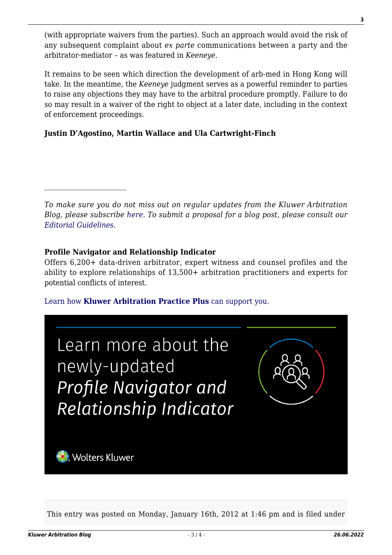(with appropriate waivers from the parties). Such an approach would avoid the risk of any subsequent complaint about *ex parte* communications between a party and the arbitrator-mediator – as was featured in *Keeneye*.

It remains to be seen which direction the development of arb-med in Hong Kong will take. In the meantime, the *Keeneye* judgment serves as a powerful reminder to parties to raise any objections they may have to the arbitral procedure promptly. Failure to do so may result in a waiver of the right to object at a later date, including in the context of enforcement proceedings.

### **Justin D'Agostino, Martin Wallace and Ula Cartwright-Finch**

*To make sure you do not miss out on regular updates from the Kluwer Arbitration Blog, please subscribe [here](http://arbitrationblog.kluwerarbitration.com/newsletter/). To submit a proposal for a blog post, please consult our [Editorial Guidelines.](http://arbitrationblog.kluwerarbitration.com/editorial-guidelines/)*

#### **Profile Navigator and Relationship Indicator**

Offers 6,200+ data-driven arbitrator, expert witness and counsel profiles and the ability to explore relationships of 13,500+ arbitration practitioners and experts for potential conflicts of interest.

#### [Learn how](https://www.wolterskluwer.com/en/solutions/kluwerarbitration/practiceplus?utm_source=arbitrationblog&utm_medium=articleCTA&utm_campaign=article-banner) **[Kluwer Arbitration Practice Plus](https://www.wolterskluwer.com/en/solutions/kluwerarbitration/practiceplus?utm_source=arbitrationblog&utm_medium=articleCTA&utm_campaign=article-banner)** [can support you.](https://www.wolterskluwer.com/en/solutions/kluwerarbitration/practiceplus?utm_source=arbitrationblog&utm_medium=articleCTA&utm_campaign=article-banner)

| Learn more about the<br>newly-updated<br>Profile Navigator and<br>Relationship Indicator |  |
|------------------------------------------------------------------------------------------|--|
| <b>Volters Kluwer</b>                                                                    |  |

This entry was posted on Monday, January 16th, 2012 at 1:46 pm and is filed under